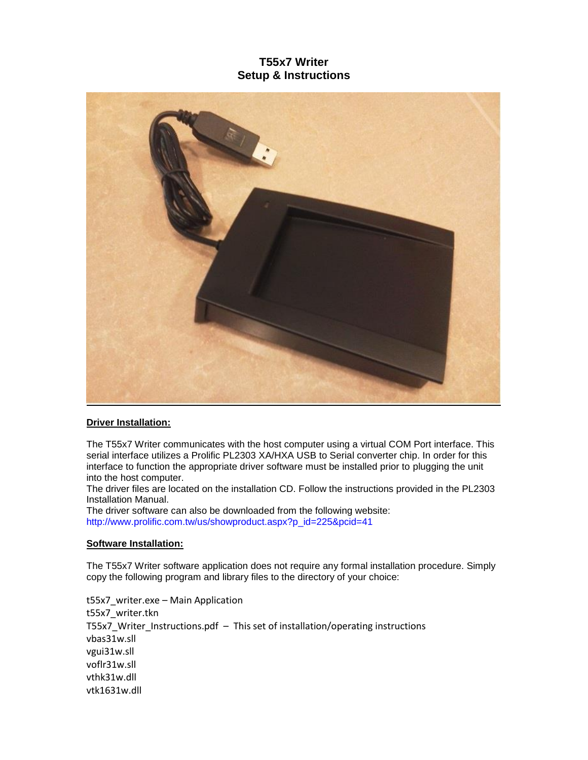# **T55x7 Writer Setup & Instructions**



# **Driver Installation:**

The T55x7 Writer communicates with the host computer using a virtual COM Port interface. This serial interface utilizes a Prolific PL2303 XA/HXA USB to Serial converter chip. In order for this interface to function the appropriate driver software must be installed prior to plugging the unit into the host computer.

The driver files are located on the installation CD. Follow the instructions provided in the PL2303 Installation Manual.

The driver software can also be downloaded from the following website: [http://www.prolific.com.tw/us/showproduct.aspx?p\\_id=225&pcid=41](http://www.prolific.com.tw/us/showproduct.aspx?p_id=225&pcid=41)

## **Software Installation:**

The T55x7 Writer software application does not require any formal installation procedure. Simply copy the following program and library files to the directory of your choice:

t55x7\_writer.exe – Main Application t55x7\_writer.tkn T55x7 Writer Instructions.pdf – This set of installation/operating instructions vbas31w.sll vgui31w.sll voflr31w.sll vthk31w.dll vtk1631w.dll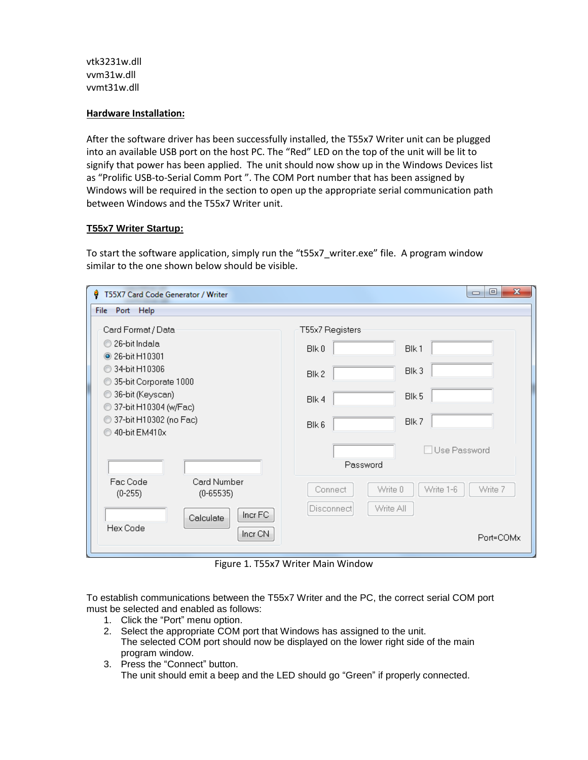vtk3231w.dll vvm31w.dll vvmt31w.dll

## **Hardware Installation:**

After the software driver has been successfully installed, the T55x7 Writer unit can be plugged into an available USB port on the host PC. The "Red" LED on the top of the unit will be lit to signify that power has been applied. The unit should now show up in the Windows Devices list as "Prolific USB-to-Serial Comm Port ". The COM Port number that has been assigned by Windows will be required in the section to open up the appropriate serial communication path between Windows and the T55x7 Writer unit.

#### **T55x7 Writer Startup:**

To start the software application, simply run the "t55x7\_writer.exe" file. A program window similar to the one shown below should be visible.

| ۰<br>T55X7 Card Code Generator / Writer     | $\mathbf{x}$<br>▣<br>$\Box$          |
|---------------------------------------------|--------------------------------------|
| File Port Help                              |                                      |
| Card Format / Data                          | T55x7 Registers                      |
| 26-bit Indala                               | Blk0                                 |
| 26-bit H10301                               | Blk 1                                |
| 34-bit H10306                               | Blk 3                                |
| 35-bit Corporate 1000                       | Blk 2                                |
| 36-bit (Keyscan)                            | Blk 5                                |
| 37-bit H10304 (w/Fac)                       | Blk 4                                |
| 37-bit H10302 (no Fac)                      | Blk 7                                |
| 40-bit EM410x                               | Blk 6                                |
|                                             | Use Password<br>Password             |
| Card Number                                 | Write 1-6                            |
| Fac Code                                    | Write 0                              |
| $(0 - 65535)$                               | Write 7                              |
| $(0-255)$                                   | Connect                              |
| Incr FC<br>Calculate<br>Hex Code<br>Incr CN | Write All<br>Disconnect<br>Port=COMx |

Figure 1. T55x7 Writer Main Window

To establish communications between the T55x7 Writer and the PC, the correct serial COM port must be selected and enabled as follows:

- 1. Click the "Port" menu option.
- 2. Select the appropriate COM port that Windows has assigned to the unit. The selected COM port should now be displayed on the lower right side of the main program window.
- 3. Press the "Connect" button. The unit should emit a beep and the LED should go "Green" if properly connected.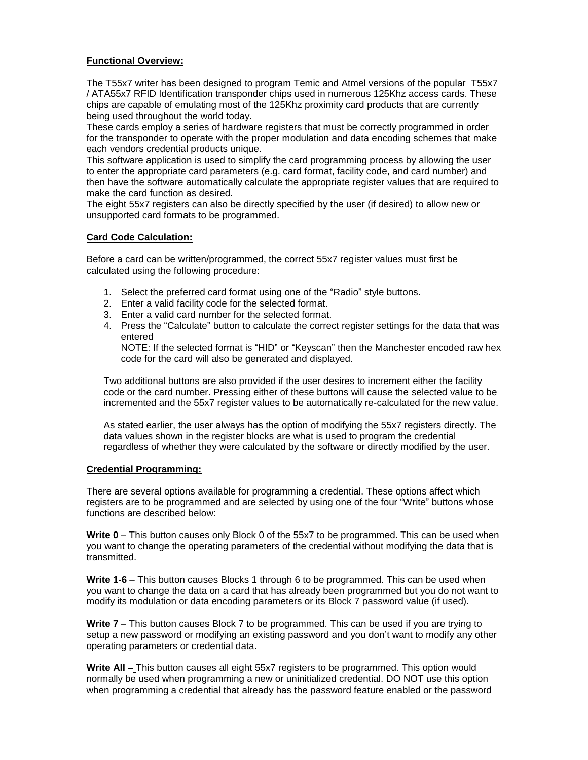# **Functional Overview:**

The T55x7 writer has been designed to program Temic and Atmel versions of the popular T55x7 / ATA55x7 RFID Identification transponder chips used in numerous 125Khz access cards. These chips are capable of emulating most of the 125Khz proximity card products that are currently being used throughout the world today.

These cards employ a series of hardware registers that must be correctly programmed in order for the transponder to operate with the proper modulation and data encoding schemes that make each vendors credential products unique.

This software application is used to simplify the card programming process by allowing the user to enter the appropriate card parameters (e.g. card format, facility code, and card number) and then have the software automatically calculate the appropriate register values that are required to make the card function as desired.

The eight 55x7 registers can also be directly specified by the user (if desired) to allow new or unsupported card formats to be programmed.

## **Card Code Calculation:**

Before a card can be written/programmed, the correct 55x7 register values must first be calculated using the following procedure:

- 1. Select the preferred card format using one of the "Radio" style buttons.
- 2. Enter a valid facility code for the selected format.
- 3. Enter a valid card number for the selected format.
- 4. Press the "Calculate" button to calculate the correct register settings for the data that was entered

NOTE: If the selected format is "HID" or "Keyscan" then the Manchester encoded raw hex code for the card will also be generated and displayed.

Two additional buttons are also provided if the user desires to increment either the facility code or the card number. Pressing either of these buttons will cause the selected value to be incremented and the 55x7 register values to be automatically re-calculated for the new value.

As stated earlier, the user always has the option of modifying the 55x7 registers directly. The data values shown in the register blocks are what is used to program the credential regardless of whether they were calculated by the software or directly modified by the user.

#### **Credential Programming:**

There are several options available for programming a credential. These options affect which registers are to be programmed and are selected by using one of the four "Write" buttons whose functions are described below:

**Write 0** – This button causes only Block 0 of the 55x7 to be programmed. This can be used when you want to change the operating parameters of the credential without modifying the data that is transmitted.

**Write 1-6** – This button causes Blocks 1 through 6 to be programmed. This can be used when you want to change the data on a card that has already been programmed but you do not want to modify its modulation or data encoding parameters or its Block 7 password value (if used).

**Write 7** – This button causes Block 7 to be programmed. This can be used if you are trying to setup a new password or modifying an existing password and you don't want to modify any other operating parameters or credential data.

**Write All –** This button causes all eight 55x7 registers to be programmed. This option would normally be used when programming a new or uninitialized credential. DO NOT use this option when programming a credential that already has the password feature enabled or the password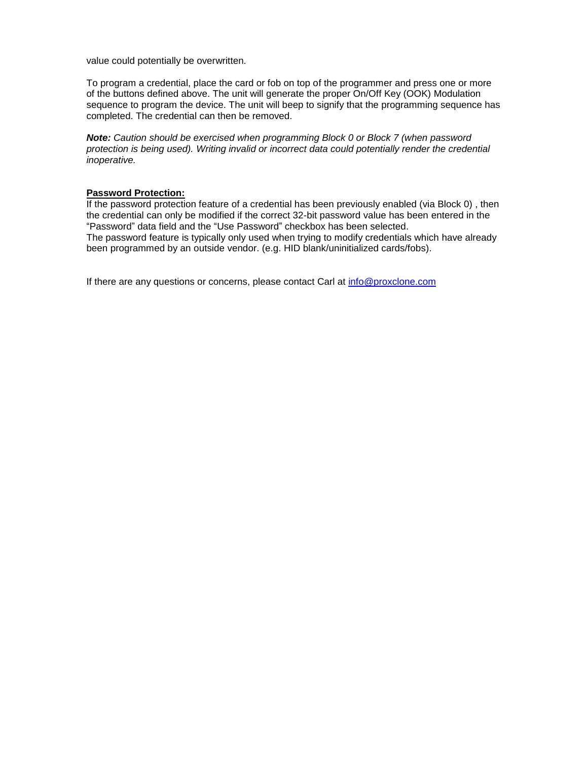value could potentially be overwritten.

To program a credential, place the card or fob on top of the programmer and press one or more of the buttons defined above. The unit will generate the proper On/Off Key (OOK) Modulation sequence to program the device. The unit will beep to signify that the programming sequence has completed. The credential can then be removed.

*Note: Caution should be exercised when programming Block 0 or Block 7 (when password protection is being used). Writing invalid or incorrect data could potentially render the credential inoperative.*

#### **Password Protection:**

If the password protection feature of a credential has been previously enabled (via Block 0) , then the credential can only be modified if the correct 32-bit password value has been entered in the "Password" data field and the "Use Password" checkbox has been selected. The password feature is typically only used when trying to modify credentials which have already been programmed by an outside vendor. (e.g. HID blank/uninitialized cards/fobs).

If there are any questions or concerns, please contact Carl at [info@proxclone.com](mailto:info@proxclone.com)